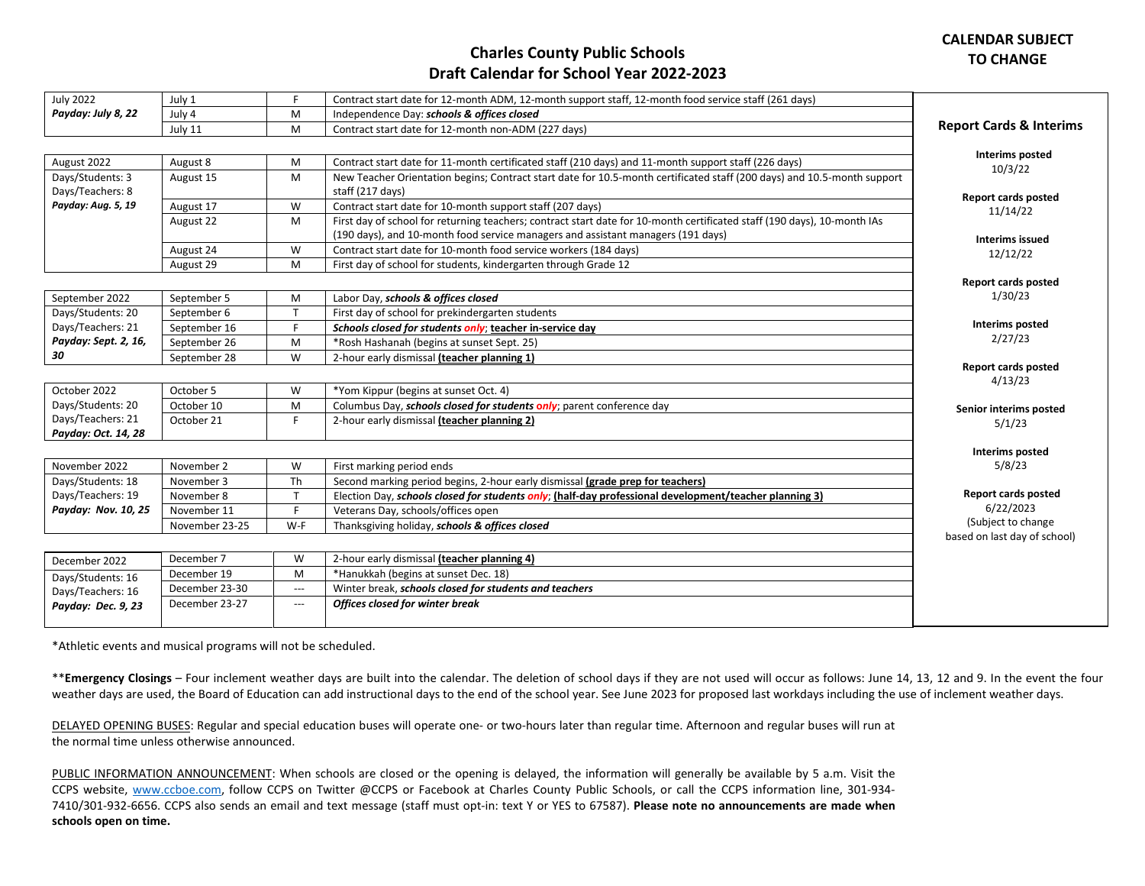**Report cards posted**

**Interims posted**

## **Charles County Public Schools Draft Calendar for School Year 2022-2023**

| <b>July 2022</b>   | July 1  |            | Contract start date for 12-month ADM, 12-month support staff, 12-month food service staff (261 days) |                                    |
|--------------------|---------|------------|------------------------------------------------------------------------------------------------------|------------------------------------|
| Payday: July 8, 22 | July 4  | <b>IVI</b> | Independence Day: schools & offices closed                                                           |                                    |
|                    | July 11 | <b>IVI</b> | Contract start date for 12-month non-ADM (227 days)                                                  | <b>Report Cards &amp; Interims</b> |
|                    |         |            |                                                                                                      |                                    |

| Interims posted            | Contract start date for 11-month certificated staff (210 days) and 11-month support staff (226 days)                     | August 8<br>м  | August 2022        |
|----------------------------|--------------------------------------------------------------------------------------------------------------------------|----------------|--------------------|
| 10/3/22                    | New Teacher Orientation begins; Contract start date for 10.5-month certificated staff (200 days) and 10.5-month support  | August 15<br>м | Days/Students: 3   |
| <b>Report cards posted</b> | staff (217 days)                                                                                                         |                | Days/Teachers: 8   |
| 11/14/22                   | Contract start date for 10-month support staff (207 days)                                                                | August 17<br>W | Payday: Aug. 5, 19 |
|                            | First day of school for returning teachers; contract start date for 10-month certificated staff (190 days), 10-month IAs | August 22<br>м |                    |
| Interims issued            | (190 days), and 10-month food service managers and assistant managers (191 days)                                         |                |                    |
| 12/12/22                   | Contract start date for 10-month food service workers (184 days)                                                         | August 24<br>W |                    |
|                            | First day of school for students, kindergarten through Grade 12                                                          | August 29<br>м |                    |
| Renort cards nosted        |                                                                                                                          |                |                    |

| September 2022       | September 5  | M | Labor Day, schools & offices closed                      | 1/30/23             |
|----------------------|--------------|---|----------------------------------------------------------|---------------------|
| Days/Students: 20    | September 6  |   | First day of school for prekindergarten students         |                     |
| Days/Teachers: 21    | September 16 |   | Schools closed for students only; teacher in-service day | Interims posted     |
| Payday: Sept. 2, 16, | September 26 | м | *Rosh Hashanah (begins at sunset Sept. 25)               | 2/27/23             |
| 30                   | September 28 | W | 2-hour early dismissal (teacher planning 1)              |                     |
|                      |              |   |                                                          | Report cards posted |

|                     |            |   |                                                                               | 4/13/23                |
|---------------------|------------|---|-------------------------------------------------------------------------------|------------------------|
| October 2022        | October 5  | W | *Yom Kippur (begins at sunset Oct. 4)                                         |                        |
| Days/Students: 20   | October 10 |   | Columbus Day, <i>schools closed for students only</i> ; parent conference day | Senior interims posted |
| Days/Teachers: 21   | October 21 |   | 2-hour early dismissal (teacher planning 2)                                   | 5/1/23                 |
| Payday: Oct. 14, 28 |            |   |                                                                               |                        |
|                     |            |   |                                                                               | Intorime noctod        |

| November 2022       | November 2     | W   | First marking period ends                                                                                           | 5/8/23                       |
|---------------------|----------------|-----|---------------------------------------------------------------------------------------------------------------------|------------------------------|
| Days/Students: 18   | November 3     | Th  | Second marking period begins, 2-hour early dismissal (grade prep for teachers)                                      |                              |
| Days/Teachers: 19   | November 8     |     | $\epsilon$ ; (half-day professional development/teacher planning 3)<br>Election Day, schools closed for students of | <b>Report cards posted</b>   |
| Payday: Nov. 10, 25 | November 11    |     | Veterans Day, schools/offices open                                                                                  | 6/22/2023                    |
|                     | November 23-25 | W-F | Thanksgiving holiday, schools & offices closed                                                                      | (Subject to change           |
|                     |                |     |                                                                                                                     | based on last day of school) |

| December 2022      | December 7     | ١٨/   | 2-hour early dismissal (teacher planning 4)            |
|--------------------|----------------|-------|--------------------------------------------------------|
| Days/Students: 16  | December 19    | M     | *Hanukkah (begins at sunset Dec. 18)                   |
| Days/Teachers: 16  | December 23-30 | $---$ | Winter break, schools closed for students and teachers |
| Payday: Dec. 9, 23 | December 23-27 | $---$ | Offices closed for winter break                        |
|                    |                |       |                                                        |

\*Athletic events and musical programs will not be scheduled.

\*\***Emergency Closings** – Four inclement weather days are built into the calendar. The deletion of school days if they are not used will occur as follows: June 14, 13, 12 and 9. In the event the four weather days are used, the Board of Education can add instructional days to the end of the school year. See June 2023 for proposed last workdays including the use of inclement weather days.

DELAYED OPENING BUSES: Regular and special education buses will operate one- or two-hours later than regular time. Afternoon and regular buses will run at the normal time unless otherwise announced.

PUBLIC INFORMATION ANNOUNCEMENT: When schools are closed or the opening is delayed, the information will generally be available by 5 a.m. Visit the CCPS website, [www.ccboe.com,](http://www.ccboe.com/) follow CCPS on Twitter @CCPS or Facebook at Charles County Public Schools, or call the CCPS information line, 301-934- 7410/301-932-6656. CCPS also sends an email and text message (staff must opt-in: text Y or YES to 67587). **Please note no announcements are made when schools open on time.**